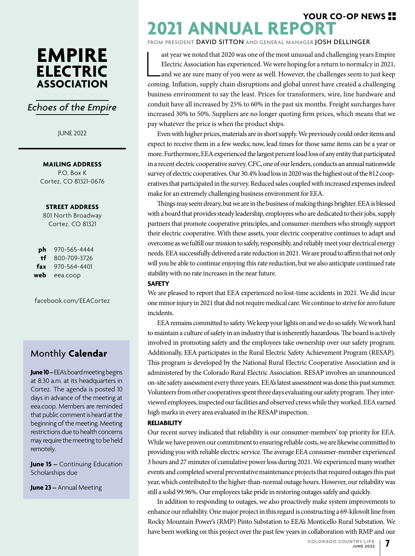## **EMPIRE ELECTRIC ASSOCIATION**

### *Echoes of the Empire*

#### JUNE 2022

**MAILING ADDRESS**

P.O. Box K Cortez, CO 81321-0676

#### **STREET ADDRESS**

801 North Broadway Cortez, CO 81321

**ph** 970-565-4444 **tf** 800-709-3726 **fax** 970-564-4401 **web** eea.coop

facebook.com/EEACortez

### Monthly **Calendar**

**June 10** – EEA's board meeting begins at 8:30 a.m. at its headquarters in Cortez. The agenda is posted 10 days in advance of the meeting at eea.coop. Members are reminded that public comment is heard at the beginning of the meeting. Meeting restrictions due to health concerns may require the meeting to be held remotely.

**June 15 –** Continuing Education Scholarships due

**June 23 –** Annual Meeting

## **2021 ANNUAL REPORT YOUR CO-OP NEWS**

FROM PRESIDENT DAVID SITTON AND GENERAL MANAGER JOSH DELLINGER

ast year we noted that 2020 was one of the most unusual and challenging years Empire Electric Association has experienced. We were hoping for a return to normalcy in 2021, and we are sure many of you were as well. However, ast year we noted that 2020 was one of the most unusual and challenging years Empire Electric Association has experienced. We were hoping for a return to normalcy in 2021, and we are sure many of you were as well. However, the challenges seem to just keep business environment to say the least. Prices for transformers, wire, line hardware and conduit have all increased by 25% to 60% in the past six months. Freight surcharges have increased 30% to 50%. Suppliers are no longer quoting firm prices, which means that we pay whatever the price is when the product ships.

Even with higher prices, materials are in short supply. We previously could order items and expect to receive them in a few weeks; now, lead times for those same items can be a year or more. Furthermore, EEA experienced the largest percent load loss of any entity that participated in a recent electric cooperative survey. CFC, one of our lenders, conducts an annual nationwide survey of electric cooperatives. Our 30.4% load loss in 2020 was the highest out of the 812 cooperatives that participated in the survey. Reduced sales coupled with increased expenses indeed make for an extremely challenging business environment for EEA.

Things may seem dreary, but we are in the business of making things brighter. EEA is blessed with a board that provides steady leadership, employees who are dedicated to their jobs, supply partners that promote cooperative principles, and consumer-members who strongly support their electric cooperative. With these assets, your electric cooperative continues to adapt and overcome as we fulfill our mission to safely, responsibly, and reliably meet your electrical energy needs. EEA successfully delivered a rate reduction in 2021. We are proud to affirm that not only will you be able to continue enjoying this rate reduction, but we also anticipate continued rate stability with no rate increases in the near future.

#### **SAFETY**

We are pleased to report that EEA experienced no lost-time accidents in 2021. We did incur one minor injury in 2021 that did not require medical care. We continue to strive for zero future incidents.

EEA remains committed to safety. We keep your lights on and we do so safely. We work hard to maintain a culture of safety in an industry that is inherently hazardous. The board is actively involved in promoting safety and the employees take ownership over our safety program. Additionally, EEA participates in the Rural Electric Safety Achievement Program (RESAP). This program is developed by the National Rural Electric Cooperative Association and is administered by the Colorado Rural Electric Association. RESAP involves an unannounced on-site safety assessment every three years. EEA's latest assessment was done this past summer. Volunteers from other cooperatives spent three days evaluating our safety program. They interviewed employees, inspected our facilities and observed crews while they worked. EEA earned high marks in every area evaluated in the RESAP inspection.

#### **RELIABILITY**

Our recent survey indicated that reliability is our consumer-members' top priority for EEA. While we have proven our commitment to ensuring reliable costs, we are likewise committed to providing you with reliable electric service. The average EEA consumer-member experienced 3 hours and 27 minutes of cumulative power loss during 2021. We experienced many weather events and completed several preventative maintenance projects that required outages this past year, which contributed to the higher-than-normal outage hours. However, our reliability was still a solid 99.96%. Our employees take pride in restoring outages safely and quickly.

In addition to responding to outages, we also proactively make system improvements to enhance our reliability. One major project in this regard is constructing a 69-kilovolt line from Rocky Mountain Power's (RMP) Pinto Substation to EEA's Monticello Rural Substation. We have been working on this project over the past few years in collaboration with RMP and our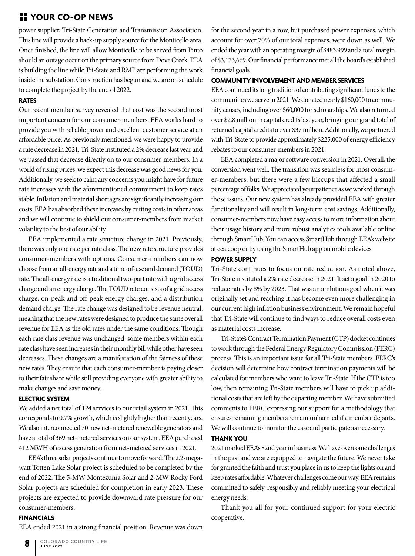### **YOUR CO-OP NEWS**

power supplier, Tri-State Generation and Transmission Association. This line will provide a back-up supply source for the Monticello area. Once finished, the line will allow Monticello to be served from Pinto should an outage occur on the primary source from Dove Creek. EEA is building the line while Tri-State and RMP are performing the work inside the substation. Construction has begun and we are on schedule to complete the project by the end of 2022.

#### **RATES**

Our recent member survey revealed that cost was the second most important concern for our consumer-members. EEA works hard to provide you with reliable power and excellent customer service at an affordable price. As previously mentioned, we were happy to provide a rate decrease in 2021. Tri-State instituted a 2% decrease last year and we passed that decrease directly on to our consumer-members. In a world of rising prices, we expect this decrease was good news for you. Additionally, we seek to calm any concerns you might have for future rate increases with the aforementioned commitment to keep rates stable. Inflation and material shortages are significantly increasing our costs. EEA has absorbed these increases by cutting costs in other areas and we will continue to shield our consumer-members from market volatility to the best of our ability.

EEA implemented a rate structure change in 2021. Previously, there was only one rate per rate class. The new rate structure provides consumer-members with options. Consumer-members can now choose from an all-energy rate and a time-of-use and demand (TOUD) rate. The all-energy rate is a traditional two-part rate with a grid access charge and an energy charge. The TOUD rate consists of a grid access charge, on-peak and off-peak energy charges, and a distribution demand charge. The rate change was designed to be revenue neutral, meaning that the new rates were designed to produce the same overall revenue for EEA as the old rates under the same conditions. Though each rate class revenue was unchanged, some members within each rate class have seen increases in their monthly bill while other have seen decreases. These changes are a manifestation of the fairness of these new rates. They ensure that each consumer-member is paying closer to their fair share while still providing everyone with greater ability to make changes and save money.

#### **ELECTRIC SYSTEM**

We added a net total of 124 services to our retail system in 2021. This corresponds to 0.7% growth, which is slightly higher than recent years. We also interconnected 70 new net-metered renewable generators and have a total of 369 net-metered services on our system. EEA purchased 412 MWH of excess generation from net-metered services in 2021.

EEA's three solar projects continue to move forward. The 2.2-megawatt Totten Lake Solar project is scheduled to be completed by the end of 2022. The 5-MW Montezuma Solar and 2-MW Rocky Ford Solar projects are scheduled for completion in early 2023. These projects are expected to provide downward rate pressure for our consumer-members.

#### **FINANCIALS**

EEA ended 2021 in a strong financial position. Revenue was down

for the second year in a row, but purchased power expenses, which account for over 70% of our total expenses, were down as well. We ended the year with an operating margin of \$483,999 and a total margin of \$3,173,669. Our financial performance met all the board's established financial goals.

#### **COMMUNITY INVOLVEMENT AND MEMBER SERVICES**

EEA continued its long tradition of contributing significant funds to the communities we serve in 2021. We donated nearly \$160,000 to community causes, including over \$60,000 for scholarships. We also returned over \$2.8 million in capital credits last year, bringing our grand total of returned capital credits to over \$37 million. Additionally, we partnered with Tri-State to provide approximately \$225,000 of energy efficiency rebates to our consumer-members in 2021.

EEA completed a major software conversion in 2021. Overall, the conversion went well. The transition was seamless for most consumer-members, but there were a few hiccups that affected a small percentage of folks. We appreciated your patience as we worked through those issues. Our new system has already provided EEA with greater functionality and will result in long-term cost savings. Additionally, consumer-members now have easy access to more information about their usage history and more robust analytics tools available online through SmartHub. You can access SmartHub through EEA's website at eea.coop or by using the SmartHub app on mobile devices.

#### **POWER SUPPLY**

Tri-State continues to focus on rate reduction. As noted above, Tri-State instituted a 2% rate decrease in 2021. It set a goal in 2020 to reduce rates by 8% by 2023. That was an ambitious goal when it was originally set and reaching it has become even more challenging in our current high inflation business environment. We remain hopeful that Tri-State will continue to find ways to reduce overall costs even as material costs increase.

Tri-State's Contract Termination Payment (CTP) docket continues to work through the Federal Energy Regulatory Commission (FERC) process. This is an important issue for all Tri-State members. FERC's decision will determine how contract termination payments will be calculated for members who want to leave Tri-State. If the CTP is too low, then remaining Tri-State members will have to pick up additional costs that are left by the departing member. We have submitted comments to FERC expressing our support for a methodology that ensures remaining members remain unharmed if a member departs. We will continue to monitor the case and participate as necessary.

#### **THANK YOU**

2021 marked EEA's 82nd year in business. We have overcome challenges in the past and we are equipped to navigate the future. We never take for granted the faith and trust you place in us to keep the lights on and keep rates affordable. Whatever challenges come our way, EEA remains committed to safely, responsibly and reliably meeting your electrical energy needs.

Thank you all for your continued support for your electric cooperative.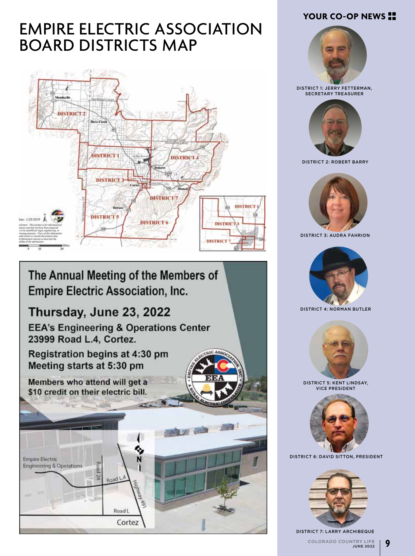### **YOUR CO-OP NEWS**

# EMPIRE ELECTRIC ASSOCIATION BOARD DISTRICTS MAP



## The Annual Meeting of the Members of **Empire Electric Association, Inc.**

## Thursday, June 23, 2022

**EEA's Engineering & Operations Center** 23999 Road L.4, Cortez.

Registration begins at 4:30 pm Meeting starts at 5:30 pm

Members who attend will get a \$10 credit on their electric bill.





DISTRICT 1: JERRY FETTERMAN, SECRETARY TREASURER



DISTRICT 2: ROBERT BARRY



DISTRICT 3: AUDRA FAHRION



DISTRICT 4: NORMAN BUTLER



DISTRICT 5: KENT LINDSAY, VICE PRESIDENT



DISTRICT 6: DAVID SITTON, PRESIDENT



**9** COLORADO COUNTRY LIFE JUNE 2022 DISTRICT 7: LARRY ARCHIBEQUE